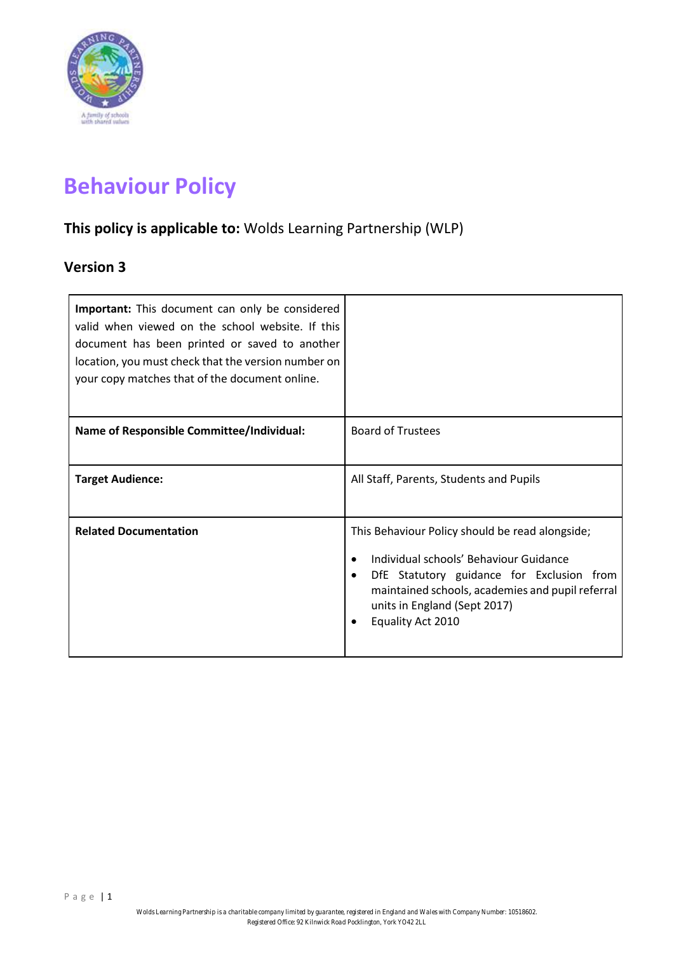

# **Behaviour Policy**

# **This policy is applicable to:** Wolds Learning Partnership (WLP)

# **Version 3**

| Important: This document can only be considered<br>valid when viewed on the school website. If this<br>document has been printed or saved to another<br>location, you must check that the version number on<br>your copy matches that of the document online. |                                                                                                                                                                                                                                                              |
|---------------------------------------------------------------------------------------------------------------------------------------------------------------------------------------------------------------------------------------------------------------|--------------------------------------------------------------------------------------------------------------------------------------------------------------------------------------------------------------------------------------------------------------|
| Name of Responsible Committee/Individual:                                                                                                                                                                                                                     | <b>Board of Trustees</b>                                                                                                                                                                                                                                     |
| <b>Target Audience:</b>                                                                                                                                                                                                                                       | All Staff, Parents, Students and Pupils                                                                                                                                                                                                                      |
| <b>Related Documentation</b>                                                                                                                                                                                                                                  | This Behaviour Policy should be read alongside;<br>Individual schools' Behaviour Guidance<br>DfE Statutory guidance for Exclusion from<br>$\bullet$<br>maintained schools, academies and pupil referral<br>units in England (Sept 2017)<br>Equality Act 2010 |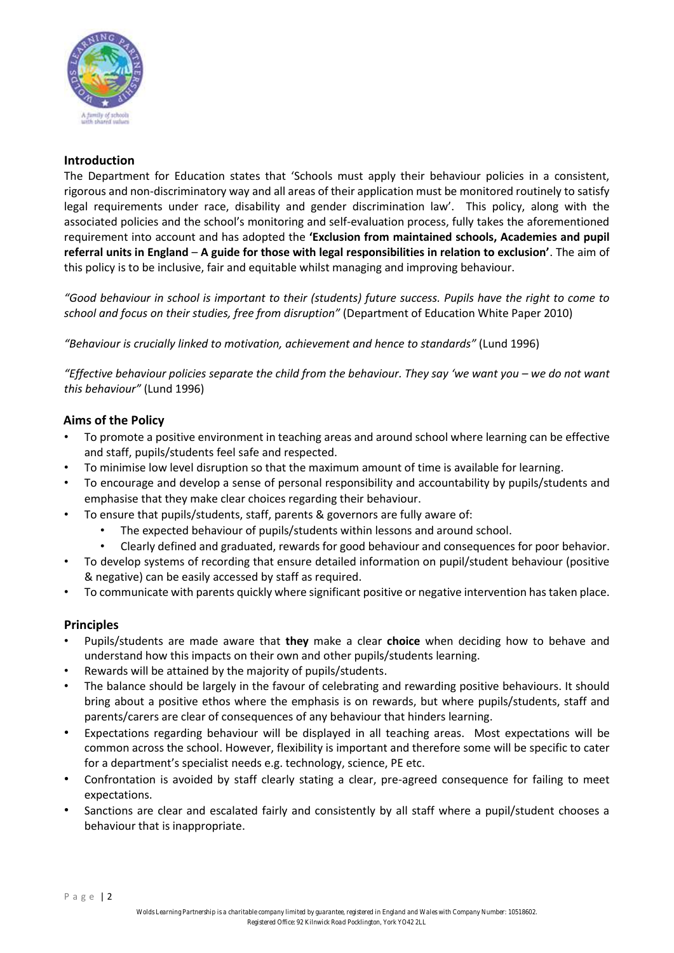

## **Introduction**

The Department for Education states that 'Schools must apply their behaviour policies in a consistent, rigorous and non-discriminatory way and all areas of their application must be monitored routinely to satisfy legal requirements under race, disability and gender discrimination law'. This policy, along with the associated policies and the school's monitoring and self-evaluation process, fully takes the aforementioned requirement into account and has adopted the **'Exclusion from maintained schools, Academies and pupil referral units in England** – **A guide for those with legal responsibilities in relation to exclusion'**. The aim of this policy is to be inclusive, fair and equitable whilst managing and improving behaviour.

*"Good behaviour in school is important to their (students) future success. Pupils have the right to come to school and focus on their studies, free from disruption"* (Department of Education White Paper 2010)

*"Behaviour is crucially linked to motivation, achievement and hence to standards"* (Lund 1996)

*"Effective behaviour policies separate the child from the behaviour. They say 'we want you – we do not want this behaviour"* (Lund 1996)

# **Aims of the Policy**

- To promote a positive environment in teaching areas and around school where learning can be effective and staff, pupils/students feel safe and respected.
- To minimise low level disruption so that the maximum amount of time is available for learning.
- To encourage and develop a sense of personal responsibility and accountability by pupils/students and emphasise that they make clear choices regarding their behaviour.
- To ensure that pupils/students, staff, parents & governors are fully aware of:
	- The expected behaviour of pupils/students within lessons and around school.
	- Clearly defined and graduated, rewards for good behaviour and consequences for poor behavior.
- To develop systems of recording that ensure detailed information on pupil/student behaviour (positive & negative) can be easily accessed by staff as required.
- To communicate with parents quickly where significant positive or negative intervention has taken place.

## **Principles**

- Pupils/students are made aware that **they** make a clear **choice** when deciding how to behave and understand how this impacts on their own and other pupils/students learning.
- Rewards will be attained by the majority of pupils/students.
- The balance should be largely in the favour of celebrating and rewarding positive behaviours. It should bring about a positive ethos where the emphasis is on rewards, but where pupils/students, staff and parents/carers are clear of consequences of any behaviour that hinders learning.
- Expectations regarding behaviour will be displayed in all teaching areas. Most expectations will be common across the school. However, flexibility is important and therefore some will be specific to cater for a department's specialist needs e.g. technology, science, PE etc.
- Confrontation is avoided by staff clearly stating a clear, pre-agreed consequence for failing to meet expectations.
- Sanctions are clear and escalated fairly and consistently by all staff where a pupil/student chooses a behaviour that is inappropriate.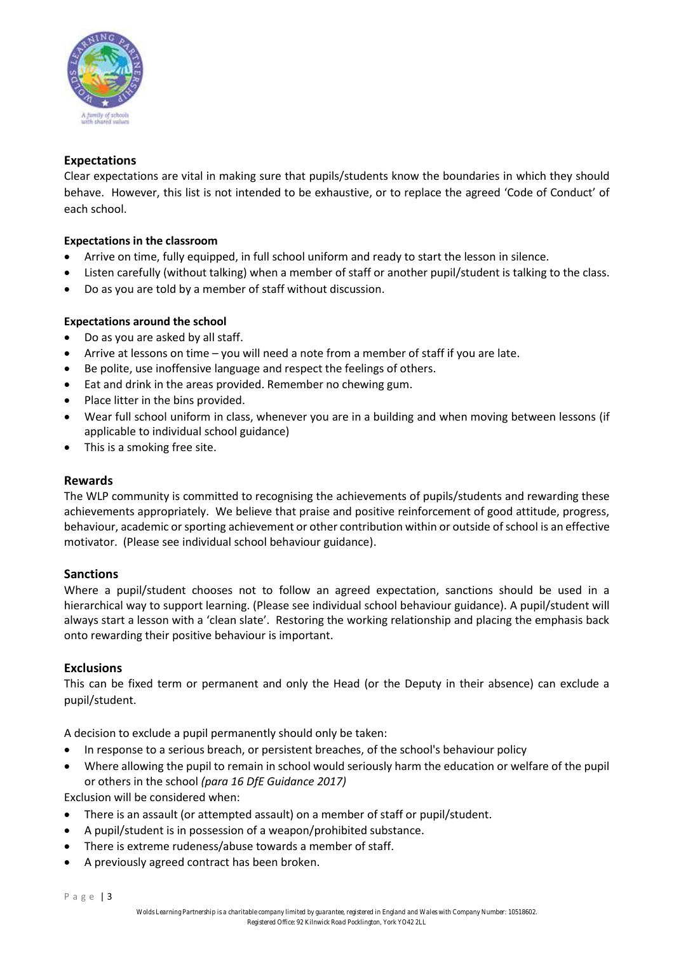

## **Expectations**

Clear expectations are vital in making sure that pupils/students know the boundaries in which they should behave. However, this list is not intended to be exhaustive, or to replace the agreed 'Code of Conduct' of each school.

#### **Expectations in the classroom**

- Arrive on time, fully equipped, in full school uniform and ready to start the lesson in silence.
- Listen carefully (without talking) when a member of staff or another pupil/student is talking to the class.
- Do as you are told by a member of staff without discussion.

#### **Expectations around the school**

- Do as you are asked by all staff.
- Arrive at lessons on time you will need a note from a member of staff if you are late.
- Be polite, use inoffensive language and respect the feelings of others.
- Eat and drink in the areas provided. Remember no chewing gum.
- Place litter in the bins provided.
- Wear full school uniform in class, whenever you are in a building and when moving between lessons (if applicable to individual school guidance)
- This is a smoking free site.

#### **Rewards**

The WLP community is committed to recognising the achievements of pupils/students and rewarding these achievements appropriately. We believe that praise and positive reinforcement of good attitude, progress, behaviour, academic or sporting achievement or other contribution within or outside of school is an effective motivator. (Please see individual school behaviour guidance).

#### **Sanctions**

Where a pupil/student chooses not to follow an agreed expectation, sanctions should be used in a hierarchical way to support learning. (Please see individual school behaviour guidance). A pupil/student will always start a lesson with a 'clean slate'. Restoring the working relationship and placing the emphasis back onto rewarding their positive behaviour is important.

#### **Exclusions**

This can be fixed term or permanent and only the Head (or the Deputy in their absence) can exclude a pupil/student.

A decision to exclude a pupil permanently should only be taken:

- In response to a serious breach, or persistent breaches, of the school's behaviour policy
- Where allowing the pupil to remain in school would seriously harm the education or welfare of the pupil or others in the school *(para 16 DfE Guidance 2017)*

Exclusion will be considered when:

- There is an assault (or attempted assault) on a member of staff or pupil/student.
- A pupil/student is in possession of a weapon/prohibited substance.
- There is extreme rudeness/abuse towards a member of staff.
- A previously agreed contract has been broken.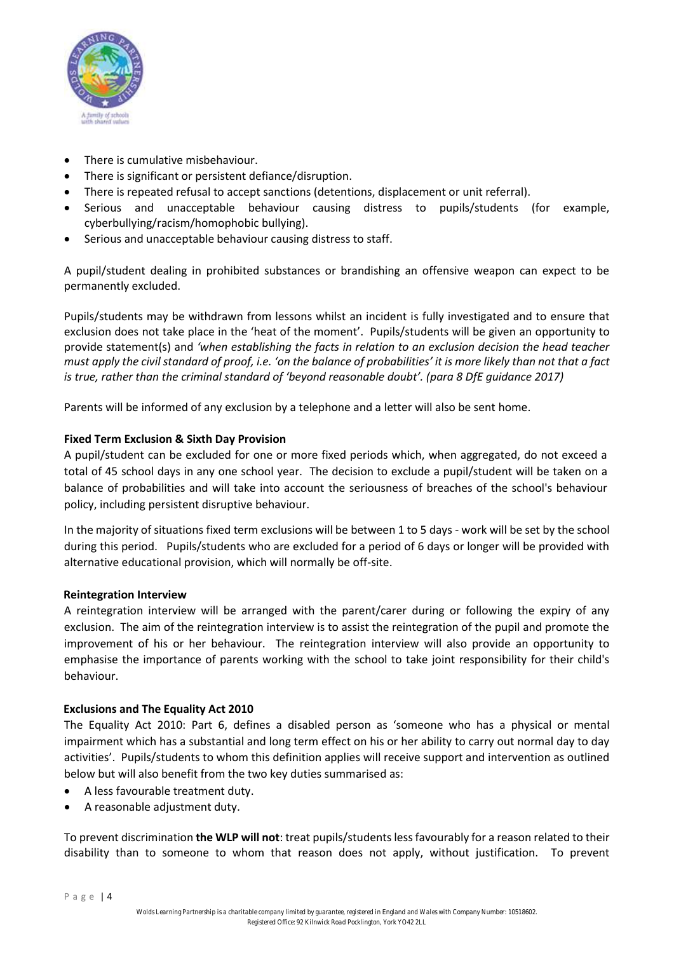

- There is cumulative misbehaviour.
- There is significant or persistent defiance/disruption.
- There is repeated refusal to accept sanctions (detentions, displacement or unit referral).
- Serious and unacceptable behaviour causing distress to pupils/students (for example, cyberbullying/racism/homophobic bullying).
- Serious and unacceptable behaviour causing distress to staff.

A pupil/student dealing in prohibited substances or brandishing an offensive weapon can expect to be permanently excluded.

Pupils/students may be withdrawn from lessons whilst an incident is fully investigated and to ensure that exclusion does not take place in the 'heat of the moment'. Pupils/students will be given an opportunity to provide statement(s) and *'when establishing the facts in relation to an exclusion decision the head teacher must apply the civil standard of proof, i.e. 'on the balance of probabilities' it is more likely than not that a fact is true, rather than the criminal standard of 'beyond reasonable doubt'. (para 8 DfE guidance 2017)*

Parents will be informed of any exclusion by a telephone and a letter will also be sent home.

#### **Fixed Term Exclusion & Sixth Day Provision**

A pupil/student can be excluded for one or more fixed periods which, when aggregated, do not exceed a total of 45 school days in any one school year. The decision to exclude a pupil/student will be taken on a balance of probabilities and will take into account the seriousness of breaches of the school's behaviour policy, including persistent disruptive behaviour.

In the majority of situations fixed term exclusions will be between 1 to 5 days - work will be set by the school during this period. Pupils/students who are excluded for a period of 6 days or longer will be provided with alternative educational provision, which will normally be off-site.

#### **Reintegration Interview**

A reintegration interview will be arranged with the parent/carer during or following the expiry of any exclusion. The aim of the reintegration interview is to assist the reintegration of the pupil and promote the improvement of his or her behaviour. The reintegration interview will also provide an opportunity to emphasise the importance of parents working with the school to take joint responsibility for their child's behaviour.

#### **Exclusions and The Equality Act 2010**

The Equality Act 2010: Part 6, defines a disabled person as 'someone who has a physical or mental impairment which has a substantial and long term effect on his or her ability to carry out normal day to day activities'. Pupils/students to whom this definition applies will receive support and intervention as outlined below but will also benefit from the two key duties summarised as:

- A less favourable treatment duty.
- A reasonable adjustment duty.

To prevent discrimination **the WLP will not**: treat pupils/students less favourably for a reason related to their disability than to someone to whom that reason does not apply, without justification. To prevent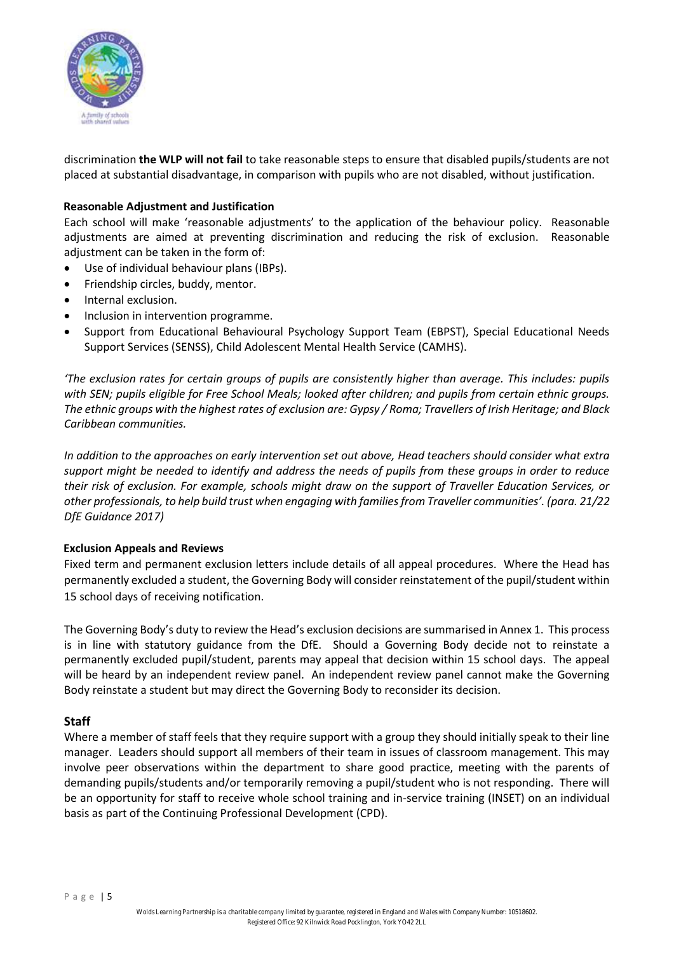

discrimination **the WLP will not fail** to take reasonable steps to ensure that disabled pupils/students are not placed at substantial disadvantage, in comparison with pupils who are not disabled, without justification.

#### **Reasonable Adjustment and Justification**

Each school will make 'reasonable adjustments' to the application of the behaviour policy. Reasonable adjustments are aimed at preventing discrimination and reducing the risk of exclusion. Reasonable adjustment can be taken in the form of:

- Use of individual behaviour plans (IBPs).
- Friendship circles, buddy, mentor.
- Internal exclusion.
- Inclusion in intervention programme.
- Support from Educational Behavioural Psychology Support Team (EBPST), Special Educational Needs Support Services (SENSS), Child Adolescent Mental Health Service (CAMHS).

*'The exclusion rates for certain groups of pupils are consistently higher than average. This includes: pupils*  with SEN; pupils eligible for Free School Meals; looked after children; and pupils from certain ethnic groups. *The ethnic groups with the highest rates of exclusion are: Gypsy / Roma; Travellers of Irish Heritage; and Black Caribbean communities.* 

*In addition to the approaches on early intervention set out above, Head teachers should consider what extra support might be needed to identify and address the needs of pupils from these groups in order to reduce their risk of exclusion. For example, schools might draw on the support of Traveller Education Services, or other professionals, to help build trust when engaging with families from Traveller communities'. (para. 21/22 DfE Guidance 2017)* 

#### **Exclusion Appeals and Reviews**

Fixed term and permanent exclusion letters include details of all appeal procedures. Where the Head has permanently excluded a student, the Governing Body will consider reinstatement of the pupil/student within 15 school days of receiving notification.

The Governing Body's duty to review the Head's exclusion decisions are summarised in Annex 1. This process is in line with statutory guidance from the DfE. Should a Governing Body decide not to reinstate a permanently excluded pupil/student, parents may appeal that decision within 15 school days. The appeal will be heard by an independent review panel. An independent review panel cannot make the Governing Body reinstate a student but may direct the Governing Body to reconsider its decision.

## **Staff**

Where a member of staff feels that they require support with a group they should initially speak to their line manager. Leaders should support all members of their team in issues of classroom management. This may involve peer observations within the department to share good practice, meeting with the parents of demanding pupils/students and/or temporarily removing a pupil/student who is not responding. There will be an opportunity for staff to receive whole school training and in-service training (INSET) on an individual basis as part of the Continuing Professional Development (CPD).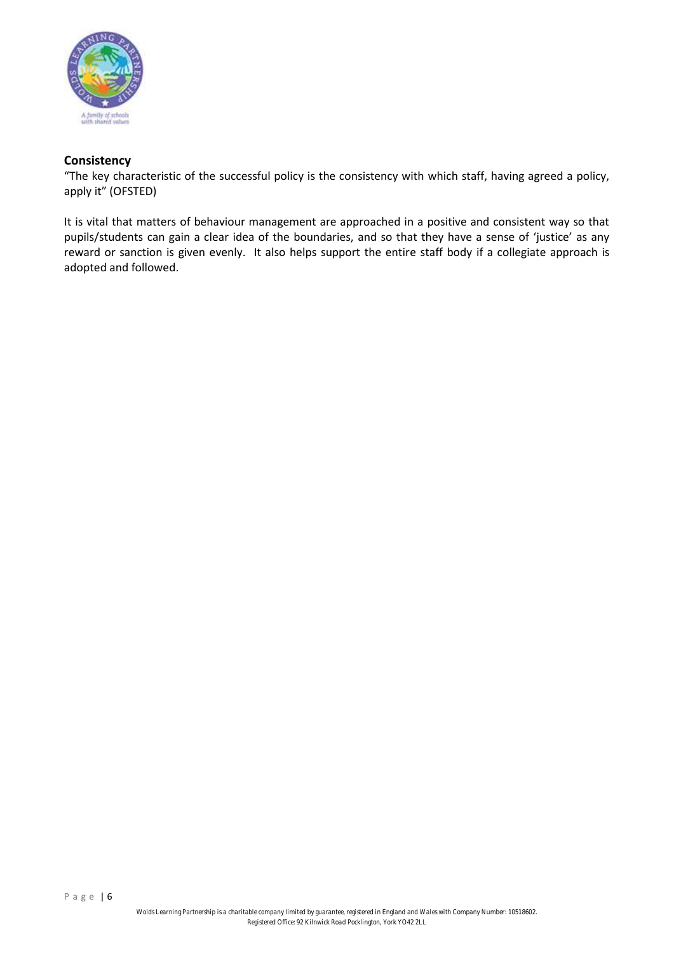

# **Consistency**

"The key characteristic of the successful policy is the consistency with which staff, having agreed a policy, apply it" (OFSTED)

It is vital that matters of behaviour management are approached in a positive and consistent way so that pupils/students can gain a clear idea of the boundaries, and so that they have a sense of 'justice' as any reward or sanction is given evenly. It also helps support the entire staff body if a collegiate approach is adopted and followed.